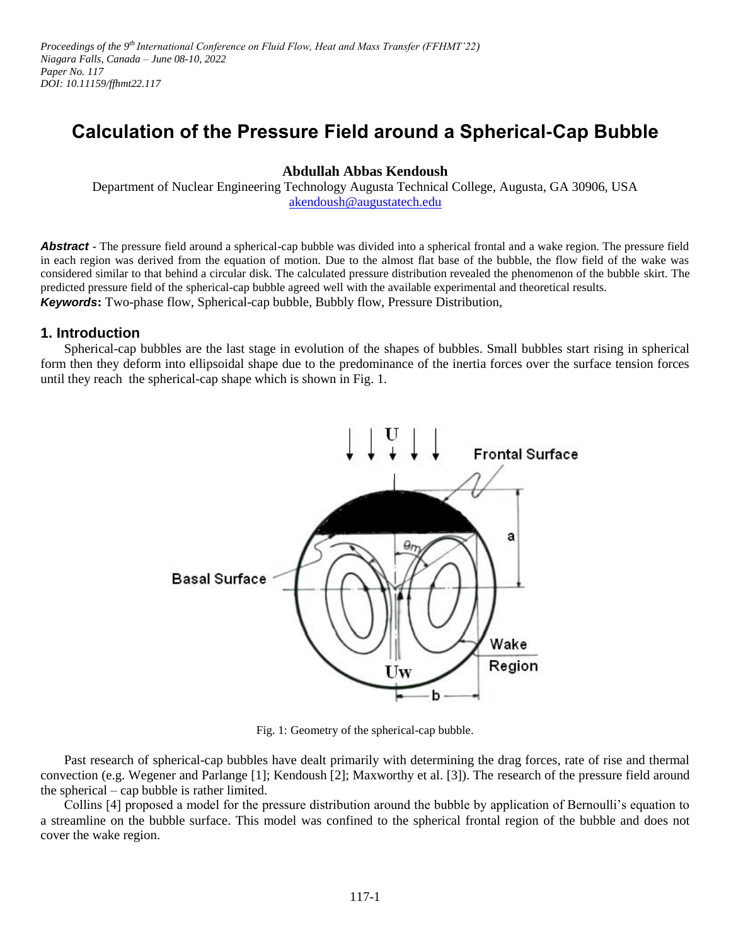Proceedings of the 9<sup>th</sup> International Conference on Fluid Flow, Heat and Mass Transfer (FFHMT'22) *Niagara Falls, Canada – June 08-10, 2022 Paper No. 117 DOI: 10.11159/ffhmt22.117*

# **Calculation of the Pressure Field around a Spherical-Cap Bubble**

# **Abdullah Abbas Kendoush**

Department of Nuclear Engineering Technology Augusta Technical College, Augusta, GA 30906, USA [akendoush@augustatech.edu](mailto:akendoush@augustatech.edu)

**Abstract** - The pressure field around a spherical-cap bubble was divided into a spherical frontal and a wake region. The pressure field in each region was derived from the equation of motion. Due to the almost flat base of the bubble, the flow field of the wake was considered similar to that behind a circular disk. The calculated pressure distribution revealed the phenomenon of the bubble skirt. The predicted pressure field of the spherical-cap bubble agreed well with the available experimental and theoretical results. *Keywords***:** Two-phase flow, Spherical-cap bubble, Bubbly flow, Pressure Distribution,

# **1. Introduction**

Spherical-cap bubbles are the last stage in evolution of the shapes of bubbles. Small bubbles start rising in spherical form then they deform into ellipsoidal shape due to the predominance of the inertia forces over the surface tension forces until they reach the spherical-cap shape which is shown in Fig. 1.



Fig. 1: Geometry of the spherical-cap bubble.

Past research of spherical-cap bubbles have dealt primarily with determining the drag forces, rate of rise and thermal convection (e.g. Wegener and Parlange [1]; Kendoush [2]; Maxworthy et al. [3]). The research of the pressure field around the spherical – cap bubble is rather limited.

Collins [4] proposed a model for the pressure distribution around the bubble by application of Bernoulli's equation to a streamline on the bubble surface. This model was confined to the spherical frontal region of the bubble and does not cover the wake region.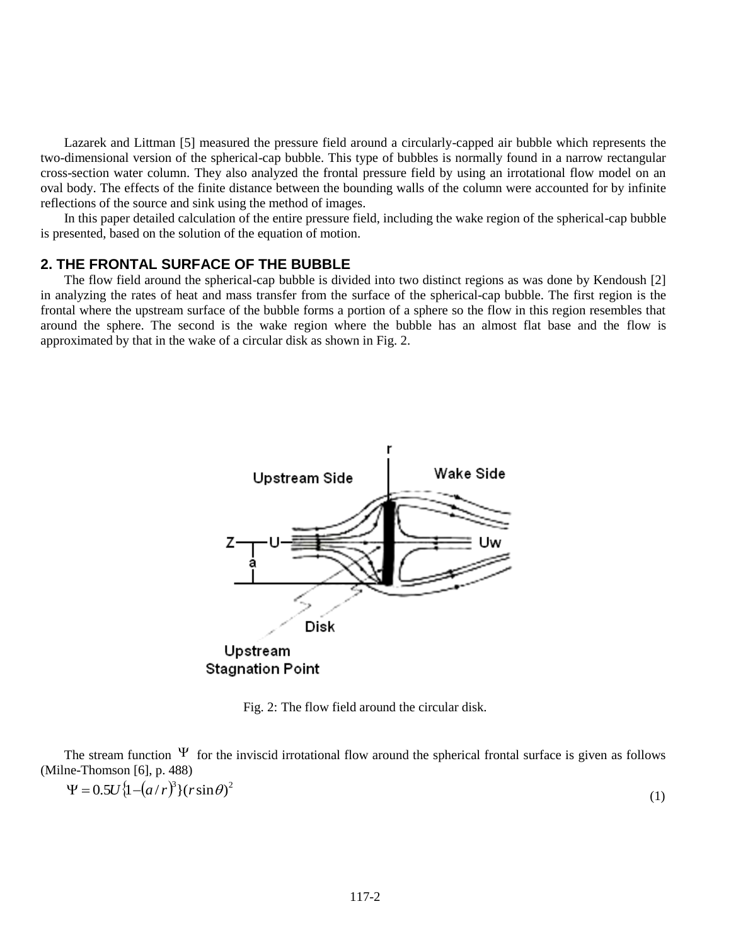Lazarek and Littman [5] measured the pressure field around a circularly-capped air bubble which represents the two-dimensional version of the spherical-cap bubble. This type of bubbles is normally found in a narrow rectangular cross-section water column. They also analyzed the frontal pressure field by using an irrotational flow model on an oval body. The effects of the finite distance between the bounding walls of the column were accounted for by infinite reflections of the source and sink using the method of images.

In this paper detailed calculation of the entire pressure field, including the wake region of the spherical-cap bubble is presented, based on the solution of the equation of motion.

## **2. THE FRONTAL SURFACE OF THE BUBBLE**

The flow field around the spherical-cap bubble is divided into two distinct regions as was done by Kendoush [2] in analyzing the rates of heat and mass transfer from the surface of the spherical-cap bubble. The first region is the frontal where the upstream surface of the bubble forms a portion of a sphere so the flow in this region resembles that around the sphere. The second is the wake region where the bubble has an almost flat base and the flow is approximated by that in the wake of a circular disk as shown in Fig. 2.



Fig. 2: The flow field around the circular disk.

The stream function  $\Psi$  for the inviscid irrotational flow around the spherical frontal surface is given as follows (Milne-Thomson [6], p. 488)

(1)

 $\Psi = 0.5U \{1 - (a/r)^3\} (r \sin \theta)^2$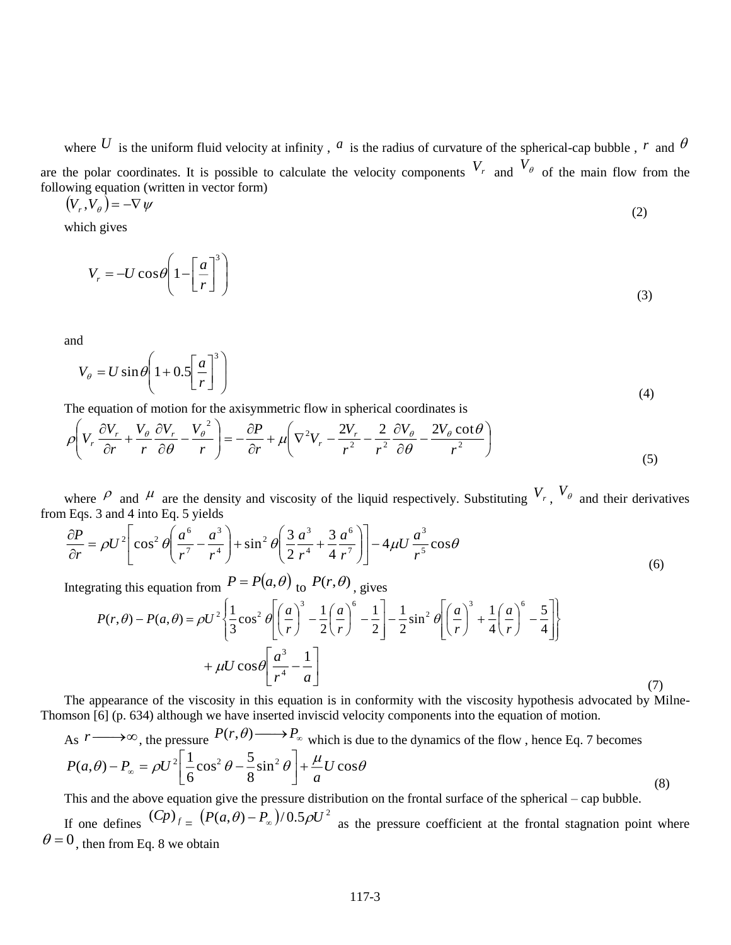where U is the uniform fluid velocity at infinity,  $a$  is the radius of curvature of the spherical-cap bubble,  $r$  and  $\theta$ are the polar coordinates. It is possible to calculate the velocity components  $V_r$  and  $V_{\theta}$  of the main flow from the following equation (written in vector form)

$$
(V_r, V_\theta) = -\nabla \psi \tag{2}
$$

which gives

$$
V_r = -U\cos\theta \left(1 - \left[\frac{a}{r}\right]^3\right) \tag{3}
$$

and

$$
V_{\theta} = U \sin \theta \left( 1 + 0.5 \left[ \frac{a}{r} \right]^3 \right) \tag{4}
$$

The equation of motion for the axisymmetric flow in spherical coordinates is

$$
\rho \left( V_r \frac{\partial V_r}{\partial r} + \frac{V_\theta}{r} \frac{\partial V_r}{\partial \theta} - \frac{V_\theta^2}{r} \right) = -\frac{\partial P}{\partial r} + \mu \left( \nabla^2 V_r - \frac{2V_r}{r^2} - \frac{2}{r^2} \frac{\partial V_\theta}{\partial \theta} - \frac{2V_\theta \cot \theta}{r^2} \right)
$$
\n(5)

where  $\rho$  and  $\mu$  are the density and viscosity of the liquid respectively. Substituting  $V_r$ ,  $V_\theta$  and their derivatives from Eqs. 3 and 4 into Eq. 5 yields

$$
\frac{\partial P}{\partial r} = \rho U^2 \left[ \cos^2 \theta \left( \frac{a^6}{r^7} - \frac{a^3}{r^4} \right) + \sin^2 \theta \left( \frac{3}{2} \frac{a^3}{r^4} + \frac{3}{4} \frac{a^6}{r^7} \right) \right] - 4\mu U \frac{a^3}{r^5} \cos \theta \tag{6}
$$

Integrating this equation from  $P = P(a, \theta)$  to  $P(r, \theta)$ , gives

$$
P(r,\theta) - P(a,\theta) = \rho U^2 \left\{ \frac{1}{3} \cos^2 \theta \left[ \left( \frac{a}{r} \right)^3 - \frac{1}{2} \left( \frac{a}{r} \right)^6 - \frac{1}{2} \right] - \frac{1}{2} \sin^2 \theta \left[ \left( \frac{a}{r} \right)^3 + \frac{1}{4} \left( \frac{a}{r} \right)^6 - \frac{5}{4} \right] \right\}
$$

$$
+ \mu U \cos \theta \left[ \frac{a^3}{r^4} - \frac{1}{a} \right]
$$
(7)

The appearance of the viscosity in this equation is in conformity with the viscosity hypothesis advocated by Milne-Thomson [6] (p. 634) although we have inserted inviscid velocity components into the equation of motion.

As 
$$
r \longrightarrow \infty
$$
, the pressure  $P(r, \theta) \longrightarrow P_{\infty}$  which is due to the dynamics of the flow, hence Eq. 7 becomes  
\n
$$
P(a, \theta) - P_{\infty} = \rho U^2 \left[ \frac{1}{6} \cos^2 \theta - \frac{5}{8} \sin^2 \theta \right] + \frac{\mu}{a} U \cos \theta
$$
\n(8)

This and the above equation give the pressure distribution on the frontal surface of the spherical – cap bubble. If one defines  $(Cp)$ <sub>f</sub> =  $(P(a, \theta) - P_{\infty})/0.5\rho U^2$  as the pressure coefficient at the frontal stagnation point where  $\theta = 0$ , then from Eq. 8 we obtain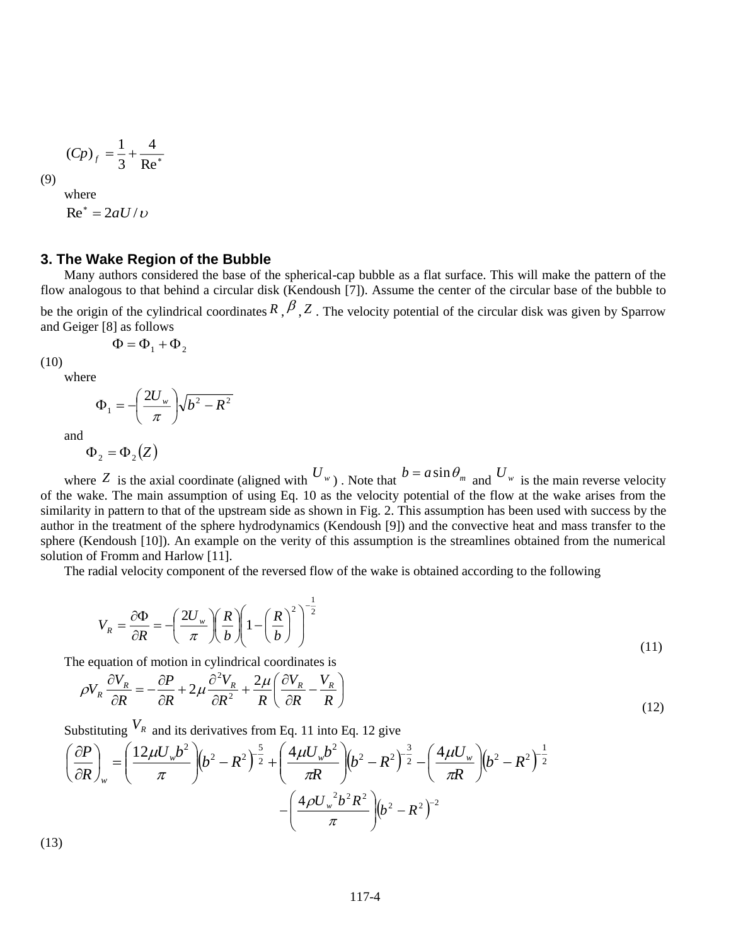$$
(Cp)f = \frac{1}{3} + \frac{4}{\text{Re}^*}
$$

(9)

 $Re^* = 2aU/v$ 

where

## **3. The Wake Region of the Bubble**

Many authors considered the base of the spherical-cap bubble as a flat surface. This will make the pattern of the flow analogous to that behind a circular disk (Kendoush [7]). Assume the center of the circular base of the bubble to be the origin of the cylindrical coordinates  $R$ ,  $\beta$ ,  $Z$ . The velocity potential of the circular disk was given by Sparrow and Geiger [8] as follows

$$
\Phi = \Phi_1 + \Phi_2
$$

(10)

where  

$$
\Phi_1 = -\left(\frac{2U_w}{\pi}\right) \sqrt{b^2 - R^2}
$$

and

 $\Phi$ <sub>2</sub> =  $\Phi$ <sub>2</sub>  $(Z)$ 

where Z is the axial coordinate (aligned with  $U_w$ ). Note that  $b = a \sin \theta_m$  and  $U_w$  is the main reverse velocity of the wake. The main assumption of using Eq. 10 as the velocity potential of the flow at the wake arises from the similarity in pattern to that of the upstream side as shown in Fig. 2. This assumption has been used with success by the author in the treatment of the sphere hydrodynamics (Kendoush [9]) and the convective heat and mass transfer to the sphere (Kendoush [10]). An example on the verity of this assumption is the streamlines obtained from the numerical solution of Fromm and Harlow [11].

The radial velocity component of the reversed flow of the wake is obtained according to the following

$$
V_R = \frac{\partial \Phi}{\partial R} = -\left(\frac{2U_w}{\pi}\right) \left(\frac{R}{b}\right) \left(1 - \left(\frac{R}{b}\right)^2\right)^{-\frac{1}{2}}
$$
\n(11)

The equation of motion in cylindrical coordinates is

$$
\rho V_R \frac{\partial V_R}{\partial R} = -\frac{\partial P}{\partial R} + 2\mu \frac{\partial^2 V_R}{\partial R^2} + \frac{2\mu}{R} \left( \frac{\partial V_R}{\partial R} - \frac{V_R}{R} \right)
$$
(12)

Substituting  $V_R$  and its derivatives from Eq. 11 into Eq. 12 give

$$
\left(\frac{\partial P}{\partial R}\right)_w = \left(\frac{12\mu U_w b^2}{\pi}\right) \left(b^2 - R^2\right)^{-\frac{5}{2}} + \left(\frac{4\mu U_w b^2}{\pi R}\right) \left(b^2 - R^2\right)^{-\frac{3}{2}} - \left(\frac{4\mu U_w}{\pi R}\right) \left(b^2 - R^2\right)^{-\frac{1}{2}} - \left(\frac{4\rho U_w^2 b^2 R^2}{\pi}\right) \left(b^2 - R^2\right)^{-\frac{1}{2}}
$$

(13)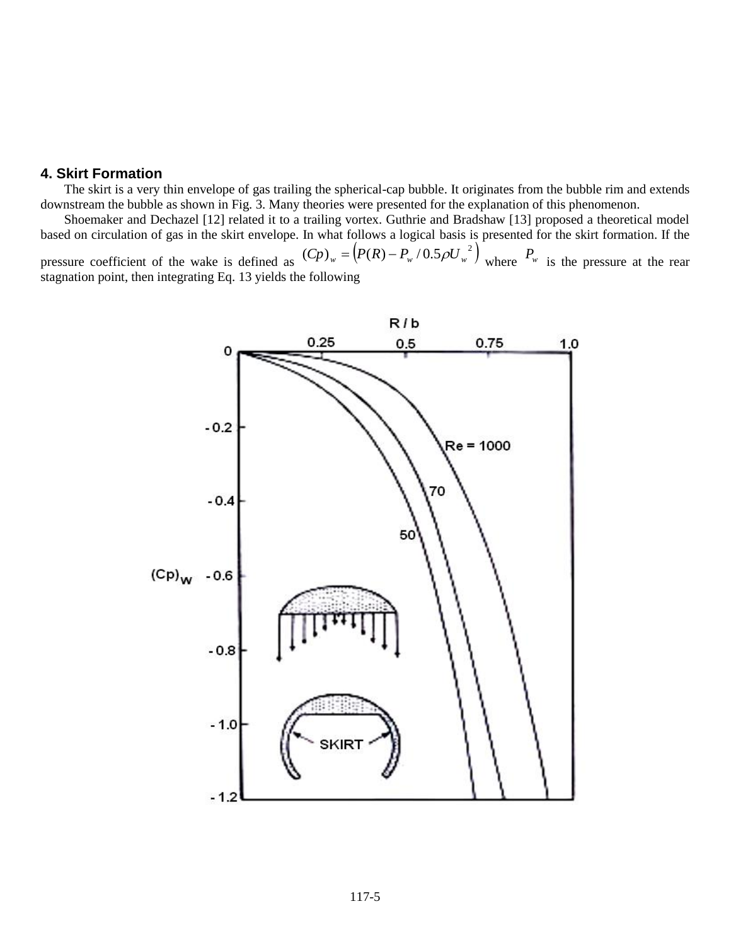#### **4. Skirt Formation**

The skirt is a very thin envelope of gas trailing the spherical-cap bubble. It originates from the bubble rim and extends downstream the bubble as shown in Fig. 3. Many theories were presented for the explanation of this phenomenon.

Shoemaker and Dechazel [12] related it to a trailing vortex. Guthrie and Bradshaw [13] proposed a theoretical model based on circulation of gas in the skirt envelope. In what follows a logical basis is presented for the skirt formation. If the

pressure coefficient of the wake is defined as  $(Cp)_w = (P(R) - P_w / 0.5 \rho U_w^2)$  where  $P_w$  is the pressure at the rear stagnation point, then integrating Eq. 13 yields the following

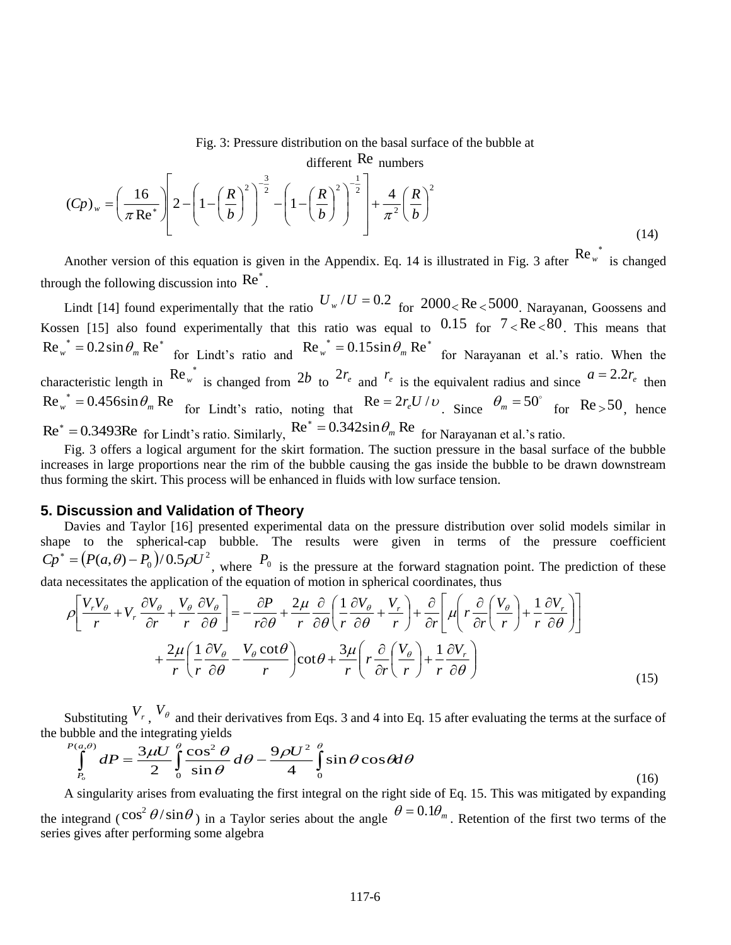Fig. 3: Pressure distribution on the basal surface of the bubble at

different Re numbers

$$
(Cp)_w = \left(\frac{16}{\pi \text{Re}^*}\right) \left[2 - \left(1 - \left(\frac{R}{b}\right)^2\right)^{-\frac{3}{2}} - \left(1 - \left(\frac{R}{b}\right)^2\right)^{-\frac{1}{2}}\right] + \frac{4}{\pi^2} \left(\frac{R}{b}\right)^2\tag{14}
$$

Another version of this equation is given in the Appendix. Eq. 14 is illustrated in Fig. 3 after  $\text{Re}_{w}^{*}$  is changed through the following discussion into  $\text{Re}^*$ .

Lindt [14] found experimentally that the ratio  $U_w/U = 0.2$  for  $2000 < Re < 5000$ . Narayanan, Goossens and Kossen [15] also found experimentally that this ratio was equal to  $0.15$  for  $7 < Re < 80$ . This means that  $\text{Re}_{w}^{*} = 0.2 \sin \theta_{m} \text{ Re}^{*}$  for Lindt's ratio and  $\text{Re}_{w}^{*} = 0.15 \sin \theta_{m} \text{ Re}^{*}$  for Narayanan et al.'s ratio. When the characteristic length in  $\text{Re}_{w}^{*}$  is changed from 2*b* to  $2r_e$  and  $r_e$  is the equivalent radius and since  $a = 2.2r_e$  then  $\text{Re}_{w}^{*} = 0.456 \sin \theta_{m} \text{ Re}$  for Lindt's ratio, noting that  $\text{Re} = 2r_e U/v$ . Since  $\theta_m$  = 50° for Re<sub>></sub>50<sub>, hence</sub>  $\text{Re}^* = 0.3493 \text{Re}$  for Lindt's ratio. Similarly,  $\text{Re}^* = 0.342 \sin \theta_m \text{Re}$  for Narayanan et al.'s ratio.

Fig. 3 offers a logical argument for the skirt formation. The suction pressure in the basal surface of the bubble increases in large proportions near the rim of the bubble causing the gas inside the bubble to be drawn downstream thus forming the skirt. This process will be enhanced in fluids with low surface tension.

## **5. Discussion and Validation of Theory**

Davies and Taylor [16] presented experimental data on the pressure distribution over solid models similar in shape to the spherical-cap bubble. The results were given in terms of the pressure coefficient  $Cp^* = (P(a, \theta) - P_0)/0.5\rho U^2$ , where  $P_0$  is the pressure at the forward stagnation point. The prediction of these data necessitates the application of the equation of motion in spherical coordinates, thus

$$
\rho \left[ \frac{V_r V_\theta}{r} + V_r \frac{\partial V_\theta}{\partial r} + \frac{V_\theta}{r} \frac{\partial V_\theta}{\partial \theta} \right] = -\frac{\partial P}{r \partial \theta} + \frac{2\mu}{r} \frac{\partial}{\partial \theta} \left( \frac{1}{r} \frac{\partial V_\theta}{\partial \theta} + \frac{V_r}{r} \right) + \frac{\partial}{\partial r} \left[ \mu \left( r \frac{\partial}{\partial r} \left( \frac{V_\theta}{r} \right) + \frac{1}{r} \frac{\partial V_r}{\partial \theta} \right) \right] + \frac{2\mu}{r} \left( \frac{1}{r} \frac{\partial V_\theta}{\partial \theta} - \frac{V_\theta \cot \theta}{r} \right) \cot \theta + \frac{3\mu}{r} \left( r \frac{\partial}{\partial r} \left( \frac{V_\theta}{r} \right) + \frac{1}{r} \frac{\partial V_r}{\partial \theta} \right) \tag{15}
$$

Substituting  $V_r$ ,  $V_\theta$  and their derivatives from Eqs. 3 and 4 into Eq. 15 after evaluating the terms at the surface of the bubble and the integrating yields

$$
\int_{P_o}^{P(a,\theta)} dP = \frac{3\mu U}{2} \int_0^{\theta} \frac{\cos^2 \theta}{\sin \theta} d\theta - \frac{9\rho U^2}{4} \int_0^{\theta} \sin \theta \cos \theta d\theta
$$
\n(16)

A singularity arises from evaluating the first integral on the right side of Eq. 15. This was mitigated by expanding the integrand ( $\cos^2 \theta / \sin \theta$ ) in a Taylor series about the angle  $\theta = 0.1 \theta_m$ . Retention of the first two terms of the series gives after performing some algebra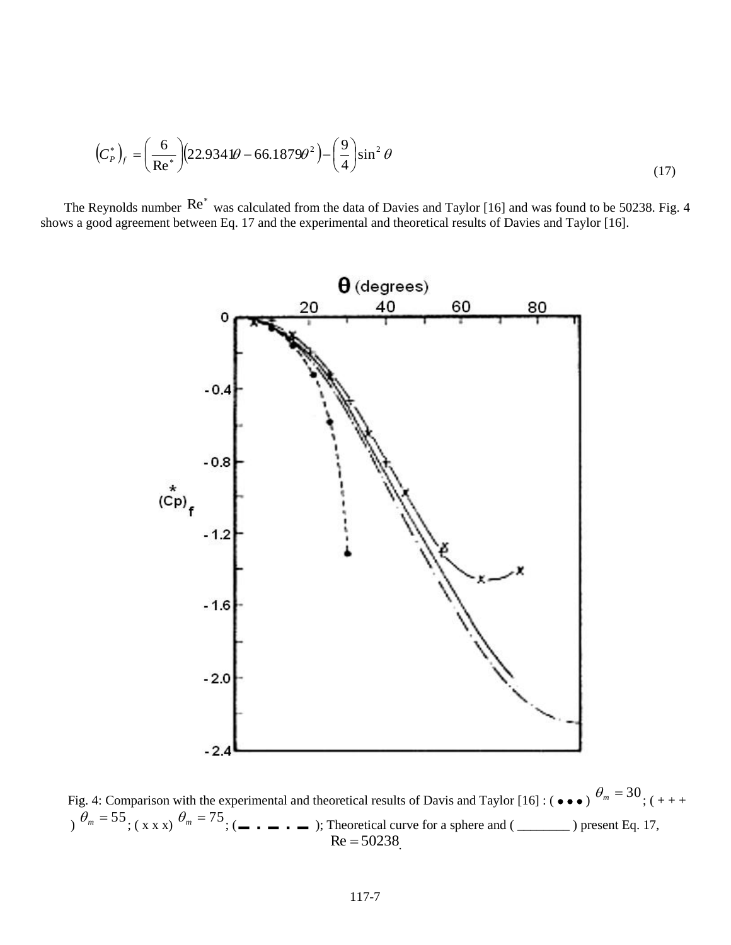$$
\left(C_p^*\right)_f = \left(\frac{6}{\text{Re}^*}\right) \left(22.9341\theta - 66.1879\theta^2\right) - \left(\frac{9}{4}\right) \sin^2\theta\tag{17}
$$

The Reynolds number  $\text{Re}^*$  was calculated from the data of Davies and Taylor [16] and was found to be 50238. Fig. 4 shows a good agreement between Eq. 17 and the experimental and theoretical results of Davies and Taylor [16].



Fig. 4: Comparison with the experimental and theoretical results of Davis and Taylor [16]: ( $\bullet \bullet \bullet$ )  $\theta_m = 30$ ; ( $++$ ) *<sup>m</sup>* 55 ; ( x x x) *<sup>m</sup>* 75 ; ( ); Theoretical curve for a sphere and ( \_\_\_\_\_\_\_\_ ) present Eq. 17,  $Re = 50238$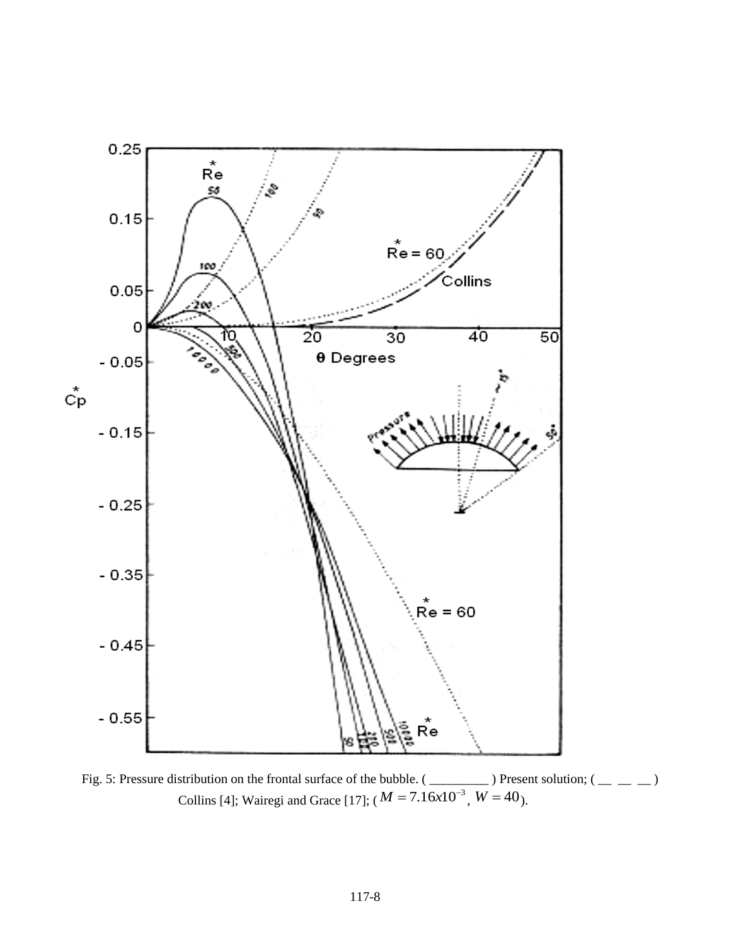

Fig. 5: Pressure distribution on the frontal surface of the bubble.  $(\underline{\hspace{1cm}}\underline{\hspace{1cm}})$  Present solution;  $(\underline{\hspace{1cm}}\underline{\hspace{1cm}})$ Collins [4]; Wairegi and Grace [17];  $(M = 7.16 \times 10^{-3}, W = 40)$ .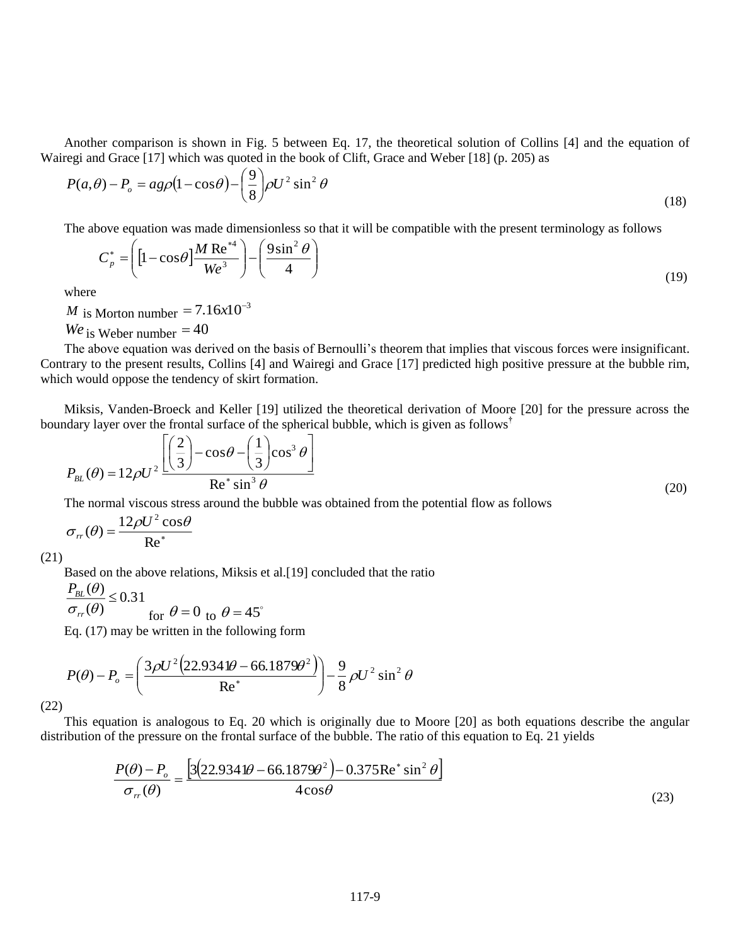Another comparison is shown in Fig. 5 between Eq. 17, the theoretical solution of Collins [4] and the equation of Wairegi and Grace [17] which was quoted in the book of Clift, Grace and Weber [18] (p. 205) as

$$
P(a,\theta) - P_o = a g \rho (1 - \cos \theta) - \left(\frac{9}{8}\right) \rho U^2 \sin^2 \theta \tag{18}
$$

The above equation was made dimensionless so that it will be compatible with the present terminology as follows

$$
C_p^* = \left( \left[ 1 - \cos \theta \right] \frac{M \operatorname{Re}^{*4}}{We^3} \right) - \left( \frac{9 \sin^2 \theta}{4} \right) \tag{19}
$$

where

*M* is Morton number  $= 7.16x10^{-3}$ 

 $We$  is Weber number  $=$  40

The above equation was derived on the basis of Bernoulli's theorem that implies that viscous forces were insignificant. Contrary to the present results, Collins [4] and Wairegi and Grace [17] predicted high positive pressure at the bubble rim, which would oppose the tendency of skirt formation.

Miksis, Vanden-Broeck and Keller [19] utilized the theoretical derivation of Moore [20] for the pressure across the boundary layer over the frontal surface of the spherical bubble, which is given as follows**†**

$$
P_{BL}(\theta) = 12\rho U^2 \frac{\left[\left(\frac{2}{3}\right) - \cos\theta - \left(\frac{1}{3}\right)\cos^3\theta\right]}{\text{Re}^*\sin^3\theta}
$$
\n(20)

The normal viscous stress around the bubble was obtained from the potential flow as follows

$$
\sigma_{rr}(\theta) = \frac{12\rho U^2 \cos\theta}{\text{Re}^*}
$$

(21)

Based on the above relations, Miksis et al.[19] concluded that the ratio

0.31  $\left( \theta \right)$  $\frac{(\theta)}{\leq}$  $\sigma_-(\theta)$  $\theta$ *rr*  $P_{\scriptscriptstyle BL}$ for  $\theta = 0$  to  $\theta = 45^{\circ}$ 

Eq. (17) may be written in the following form

$$
P(\theta) - P_o = \left(\frac{3\rho U^2 \left(22.9341\theta - 66.1879\theta^2\right)}{\text{Re}^*}\right) - \frac{9}{8}\rho U^2 \sin^2\theta
$$

(22)

This equation is analogous to Eq. 20 which is originally due to Moore [20] as both equations describe the angular distribution of the pressure on the frontal surface of the bubble. The ratio of this equation to Eq. 21 yields

$$
\frac{P(\theta) - P_o}{\sigma_r(\theta)} = \frac{\left[3(22.9341\theta - 66.1879\theta^2) - 0.375\text{Re}^* \sin^2 \theta\right]}{4\cos\theta}
$$
(23)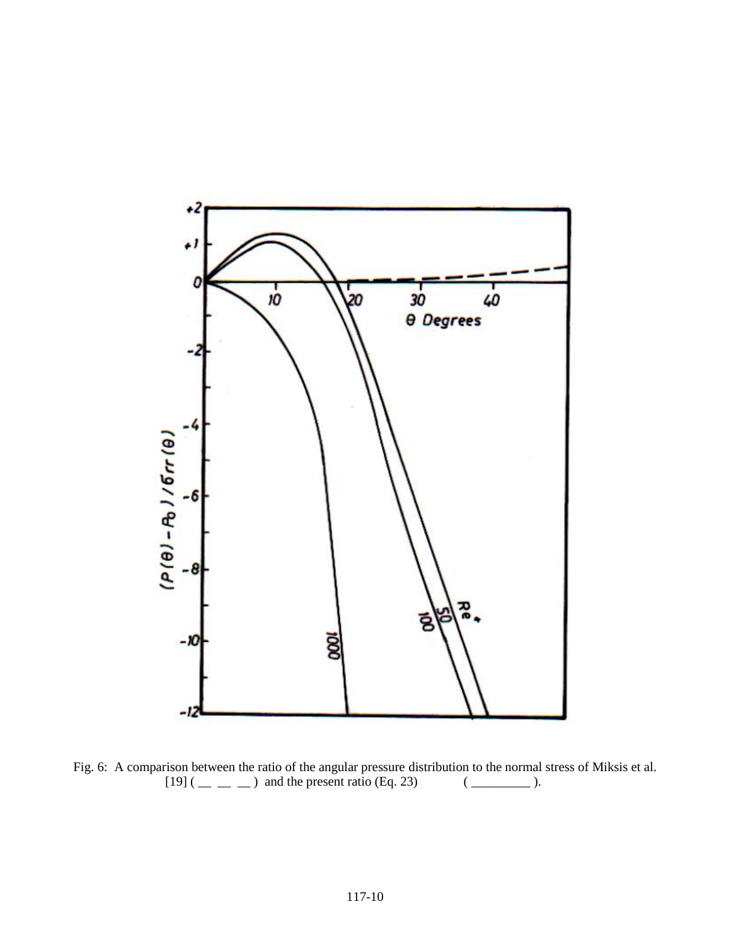

Fig. 6: A comparison between the ratio of the angular pressure distribution to the normal stress of Miksis et al.  $[19]$  (  $\_\_$   $\_\_$ ) and the present ratio (Eq. 23) ( $\_\_$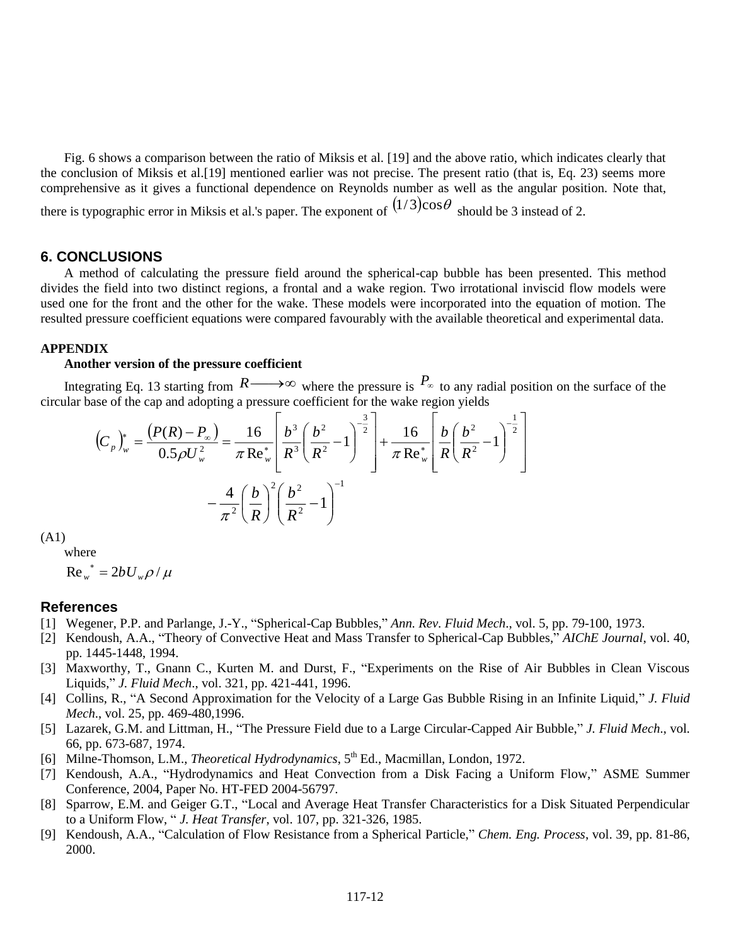Fig. 6 shows a comparison between the ratio of Miksis et al. [19] and the above ratio, which indicates clearly that the conclusion of Miksis et al.[19] mentioned earlier was not precise. The present ratio (that is, Eq. 23) seems more comprehensive as it gives a functional dependence on Reynolds number as well as the angular position. Note that, there is typographic error in Miksis et al.'s paper. The exponent of  $(1/3)$ cos $\theta$  should be 3 instead of 2.

#### **6. CONCLUSIONS**

A method of calculating the pressure field around the spherical-cap bubble has been presented. This method divides the field into two distinct regions, a frontal and a wake region. Two irrotational inviscid flow models were used one for the front and the other for the wake. These models were incorporated into the equation of motion. The resulted pressure coefficient equations were compared favourably with the available theoretical and experimental data.

## **APPENDIX**

#### **Another version of the pressure coefficient**

Integrating Eq. 13 starting from  $R \longrightarrow \infty$  where the pressure is  $P_{\infty}$  to any radial position on the surface of the circular base of the cap and adopting a pressure coefficient for the wake region yields

$$
\left(C_{p}\right)_{w}^{*} = \frac{\left(P(R) - P_{\infty}\right)}{0.5\rho U_{w}^{2}} = \frac{16}{\pi \text{ Re}_{w}^{*}} \left[\frac{b^{3}}{R^{3}} \left(\frac{b^{2}}{R^{2}} - 1\right)^{-\frac{3}{2}}\right] + \frac{16}{\pi \text{ Re}_{w}^{*}} \left[\frac{b}{R} \left(\frac{b^{2}}{R^{2}} - 1\right)^{-\frac{1}{2}}\right]
$$

$$
-\frac{4}{\pi^{2}} \left(\frac{b}{R}\right)^{2} \left(\frac{b^{2}}{R^{2}} - 1\right)^{-1}
$$

(A1)

where

 $Re_w^* = 2bU_w \rho / \mu$ 

#### **References**

- [1] Wegener, P.P. and Parlange, J.-Y., "Spherical-Cap Bubbles," *Ann. Rev. Fluid Mech*., vol. 5, pp. 79-100, 1973.
- [2] Kendoush, A.A., "Theory of Convective Heat and Mass Transfer to Spherical-Cap Bubbles," *AIChE Journal*, vol. 40, pp. 1445-1448, 1994.
- [3] Maxworthy, T., Gnann C., Kurten M. and Durst, F., "Experiments on the Rise of Air Bubbles in Clean Viscous Liquids," *J. Fluid Mech*., vol. 321, pp. 421-441, 1996.
- [4] Collins, R., "A Second Approximation for the Velocity of a Large Gas Bubble Rising in an Infinite Liquid," *J. Fluid Mech*., vol. 25, pp. 469-480,1996.
- [5] Lazarek, G.M. and Littman, H., "The Pressure Field due to a Large Circular-Capped Air Bubble," *J. Fluid Mech*., vol. 66, pp. 673-687, 1974.
- [6] Milne-Thomson, L.M., *Theoretical Hydrodynamics*, 5<sup>th</sup> Ed., Macmillan, London, 1972.
- [7] Kendoush, A.A., "Hydrodynamics and Heat Convection from a Disk Facing a Uniform Flow," ASME Summer Conference, 2004, Paper No. HT-FED 2004-56797.
- [8] Sparrow, E.M. and Geiger G.T., "Local and Average Heat Transfer Characteristics for a Disk Situated Perpendicular to a Uniform Flow, " *J. Heat Transfer*, vol. 107, pp. 321-326, 1985.
- [9] Kendoush, A.A., "Calculation of Flow Resistance from a Spherical Particle," *Chem. Eng. Process*, vol. 39, pp. 81-86, 2000.